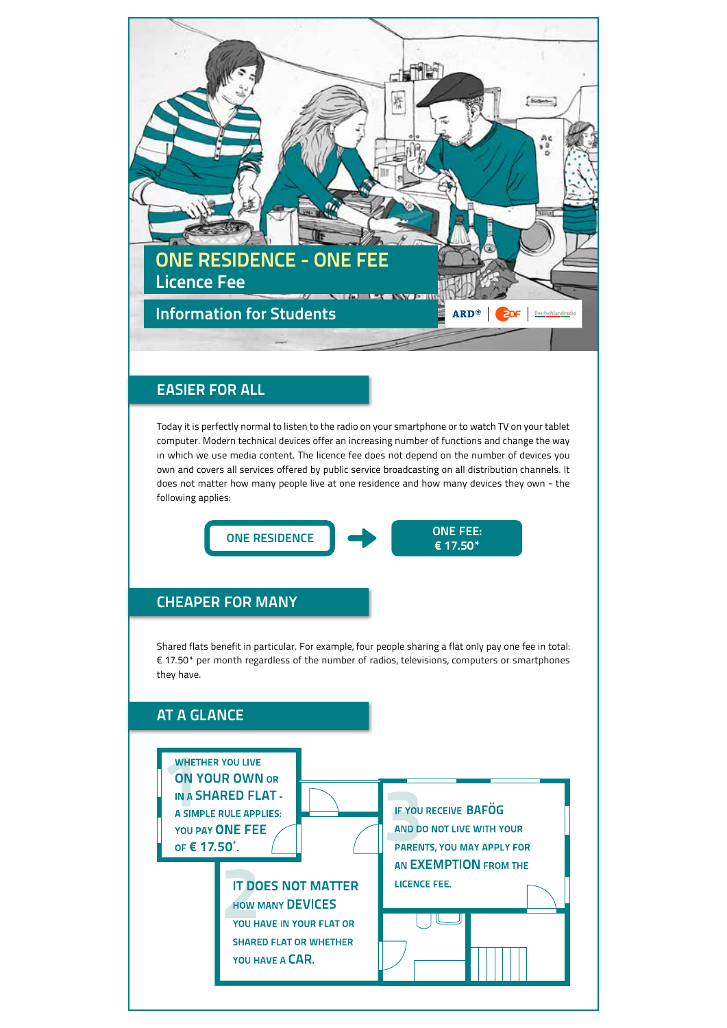

# **EASIER FOR ALL**

Today it is perfectly normal to listen to the radio on your smartphone or to watch TV on your tablet computer. Modern technical devices offer an increasing number of functions and change the way in which we use media content. The licence fee does not depend on the number of devices you own and covers all services offered by public service broadcasting on all distribution channels. It does not matter how many people live at one residence and how many devices they own - the following applies:



# **CHEAPER FOR MANY**

Shared flats benefit in particular. For example, four people sharing a flat only pay one fee in total: € 17.50\* per month regardless of the number of radios, televisions, computers or smartphones they have.